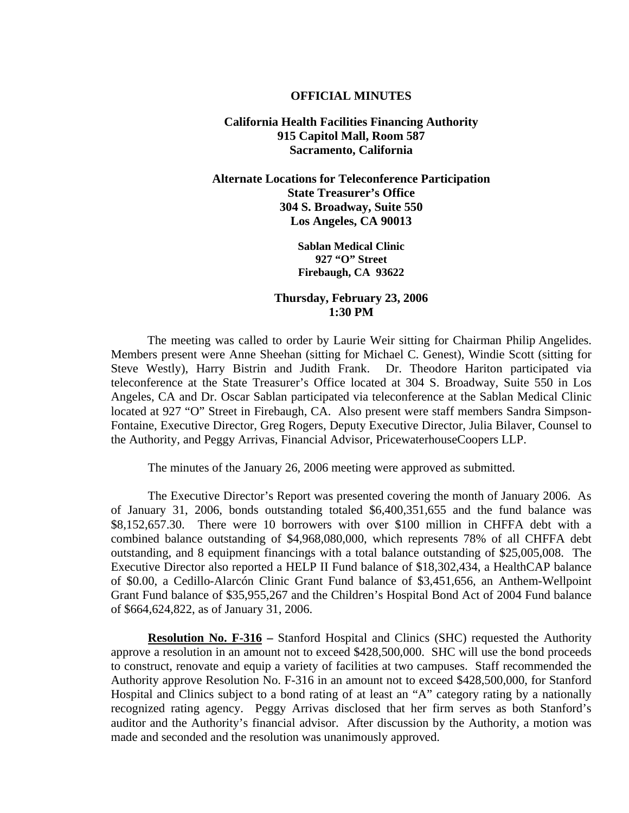## **OFFICIAL MINUTES**

## **California Health Facilities Financing Authority 915 Capitol Mall, Room 587 Sacramento, California**

**Alternate Locations for Teleconference Participation State Treasurer's Office 304 S. Broadway, Suite 550 Los Angeles, CA 90013** 

> **Sablan Medical Clinic 927 "O" Street Firebaugh, CA 93622**

## **Thursday, February 23, 2006 1:30 PM**

 The meeting was called to order by Laurie Weir sitting for Chairman Philip Angelides. Members present were Anne Sheehan (sitting for Michael C. Genest), Windie Scott (sitting for Steve Westly), Harry Bistrin and Judith Frank. Dr. Theodore Hariton participated via Steve Westly), Harry Bistrin and Judith Frank. teleconference at the State Treasurer's Office located at 304 S. Broadway, Suite 550 in Los Angeles, CA and Dr. Oscar Sablan participated via teleconference at the Sablan Medical Clinic located at 927 "O" Street in Firebaugh, CA. Also present were staff members Sandra Simpson-Fontaine, Executive Director, Greg Rogers, Deputy Executive Director, Julia Bilaver, Counsel to the Authority, and Peggy Arrivas, Financial Advisor, PricewaterhouseCoopers LLP.

The minutes of the January 26, 2006 meeting were approved as submitted.

 The Executive Director's Report was presented covering the month of January 2006. As of January 31, 2006, bonds outstanding totaled \$6,400,351,655 and the fund balance was \$8,152,657.30. There were 10 borrowers with over \$100 million in CHFFA debt with a combined balance outstanding of \$4,968,080,000, which represents 78% of all CHFFA debt outstanding, and 8 equipment financings with a total balance outstanding of \$25,005,008. The Executive Director also reported a HELP II Fund balance of \$18,302,434, a HealthCAP balance of \$0.00, a Cedillo-Alarcón Clinic Grant Fund balance of \$3,451,656, an Anthem-Wellpoint Grant Fund balance of \$35,955,267 and the Children's Hospital Bond Act of 2004 Fund balance of \$664,624,822, as of January 31, 2006.

**Resolution No. F-316 –** Stanford Hospital and Clinics (SHC) requested the Authority approve a resolution in an amount not to exceed \$428,500,000. SHC will use the bond proceeds to construct, renovate and equip a variety of facilities at two campuses. Staff recommended the Authority approve Resolution No. F-316 in an amount not to exceed \$428,500,000, for Stanford Hospital and Clinics subject to a bond rating of at least an "A" category rating by a nationally recognized rating agency. Peggy Arrivas disclosed that her firm serves as both Stanford's auditor and the Authority's financial advisor. After discussion by the Authority, a motion was made and seconded and the resolution was unanimously approved.